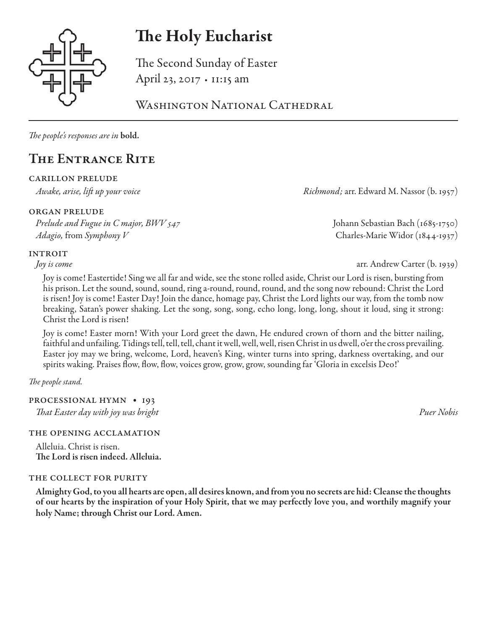

# The Holy Eucharist

The Second Sunday of Easter April 23, 2017 • 11:15 am

## Washington National Cathedral

*The people's responses are in* bold.

## The Entrance Rite

#### carillon prelude

*Awake, arise, lift up your voice Richmond;* arr. Edward M. Nassor (b. 1957)

#### organ prelude

*Prelude and Fugue in C major, BWV 547* **Johann Sebastian Bach** (1685-1750) *Adagio,* from *Symphony V* Charles-Marie Widor (1844-1937)

#### **INTROIT**

*Joy is come* arr. Andrew Carter (b. 1939)

Joy is come! Eastertide! Sing we all far and wide, see the stone rolled aside, Christ our Lord is risen, bursting from his prison. Let the sound, sound, sound, ring a-round, round, round, and the song now rebound: Christ the Lord is risen! Joy is come! Easter Day! Join the dance, homage pay, Christ the Lord lights our way, from the tomb now breaking, Satan's power shaking. Let the song, song, song, echo long, long, long, shout it loud, sing it strong: Christ the Lord is risen!

Joy is come! Easter morn! With your Lord greet the dawn, He endured crown of thorn and the bitter nailing, faithful and unfailing. Tidings tell, tell, tell, chant it well, well, well, risen Christ in us dwell, o'er the cross prevailing. Easter joy may we bring, welcome, Lord, heaven's King, winter turns into spring, darkness overtaking, and our spirits waking. Praises flow, flow, flow, voices grow, grow, grow, sounding far 'Gloria in excelsis Deo!'

*The people stand.* 

#### processional hymn • 193

*That Easter day with joy was bright Puer Nobis*

### the opening acclamation

Alleluia. Christ is risen. The Lord is risen indeed. Alleluia.

### THE COLLECT FOR PURITY

Almighty God, to you all hearts are open, all desires known, and from you no secrets are hid: Cleanse the thoughts of our hearts by the inspiration of your Holy Spirit, that we may perfectly love you, and worthily magnify your holy Name; through Christ our Lord. Amen.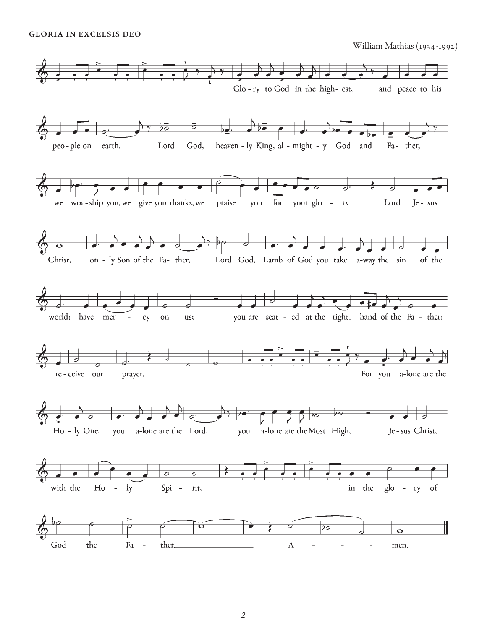William Mathias (1934-1992)

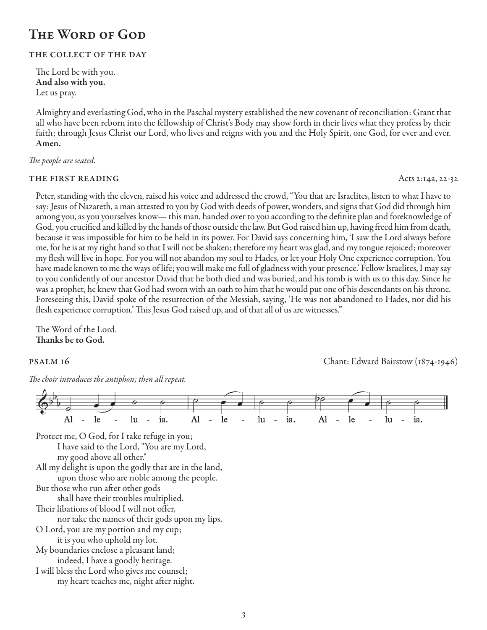## The Word of God

#### the collect of the day

The Lord be with you. And also with you. Let us pray.

Almighty and everlasting God, who in the Paschal mystery established the new covenant of reconciliation: Grant that all who have been reborn into the fellowship of Christ's Body may show forth in their lives what they profess by their faith; through Jesus Christ our Lord, who lives and reigns with you and the Holy Spirit, one God, for ever and ever. Amen.

*The people are seated.* 

#### THE FIRST READING Acts 2:14a, 22-32

Peter, standing with the eleven, raised his voice and addressed the crowd, "You that are Israelites, listen to what I have to say: Jesus of Nazareth, a man attested to you by God with deeds of power, wonders, and signs that God did through him among you, as you yourselves know— this man, handed over to you according to the definite plan and foreknowledge of God, you crucified and killed by the hands of those outside the law. But God raised him up, having freed him from death, because it was impossible for him to be held in its power. For David says concerning him, 'I saw the Lord always before me, for he is at my right hand so that I will not be shaken; therefore my heart was glad, and my tongue rejoiced; moreover my flesh will live in hope. For you will not abandon my soul to Hades, or let your Holy One experience corruption. You have made known to me the ways of life; you will make me full of gladness with your presence.' Fellow Israelites, I may say to you confidently of our ancestor David that he both died and was buried, and his tomb is with us to this day. Since he was a prophet, he knew that God had sworn with an oath to him that he would put one of his descendants on his throne. Foreseeing this, David spoke of the resurrection of the Messiah, saying, 'He was not abandoned to Hades, nor did his flesh experience corruption.' This Jesus God raised up, and of that all of us are witnesses."

The Word of the Lord. Thanks be to God.

#### psalm 16 Chant: Edward Bairstow (1874-1946)

*The choir introduces the antiphon; then all repeat.* 



my heart teaches me, night after night.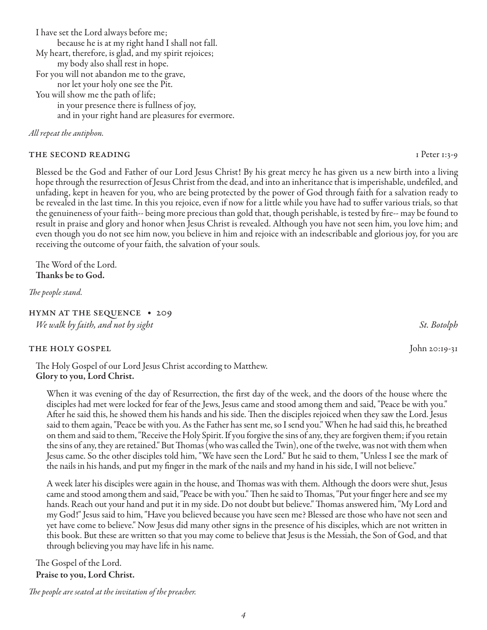I have set the Lord always before me; because he is at my right hand I shall not fall. My heart, therefore, is glad, and my spirit rejoices; my body also shall rest in hope. For you will not abandon me to the grave, nor let your holy one see the Pit. You will show me the path of life; in your presence there is fullness of joy, and in your right hand are pleasures for evermore.

#### *All repeat the antiphon.*

#### THE SECOND READING THE SECOND READING THE SECOND READING THE SECOND READING THE SECOND READING THE SECOND THE SECOND SECOND THE SECOND SECOND SECOND SECOND SECOND SECOND SECOND SECOND SECOND SECOND SECOND SECOND SECOND SEC

Blessed be the God and Father of our Lord Jesus Christ! By his great mercy he has given us a new birth into a living hope through the resurrection of Jesus Christ from the dead, and into an inheritance that is imperishable, undefiled, and unfading, kept in heaven for you, who are being protected by the power of God through faith for a salvation ready to be revealed in the last time. In this you rejoice, even if now for a little while you have had to suffer various trials, so that the genuineness of your faith-- being more precious than gold that, though perishable, is tested by fire-- may be found to result in praise and glory and honor when Jesus Christ is revealed. Although you have not seen him, you love him; and even though you do not see him now, you believe in him and rejoice with an indescribable and glorious joy, for you are receiving the outcome of your faith, the salvation of your souls.

The Word of the Lord. Thanks be to God.

*The people stand.*

hymn at the sequence • 209 *We walk by faith, and not by sight*  $St.$  *Botolph* 

#### THE HOLY GOSPEL John 20:19-31

The Holy Gospel of our Lord Jesus Christ according to Matthew. Glory to you, Lord Christ.

When it was evening of the day of Resurrection, the first day of the week, and the doors of the house where the disciples had met were locked for fear of the Jews, Jesus came and stood among them and said, "Peace be with you." After he said this, he showed them his hands and his side. Then the disciples rejoiced when they saw the Lord. Jesus said to them again, "Peace be with you. As the Father has sent me, so I send you." When he had said this, he breathed on them and said to them, "Receive the Holy Spirit. If you forgive the sins of any, they are forgiven them; if you retain the sins of any, they are retained." But Thomas (who was called the Twin), one of the twelve, was not with them when Jesus came. So the other disciples told him, "We have seen the Lord." But he said to them, "Unless I see the mark of the nails in his hands, and put my finger in the mark of the nails and my hand in his side, I will not believe."

A week later his disciples were again in the house, and Thomas was with them. Although the doors were shut, Jesus came and stood among them and said, "Peace be with you." Then he said to Thomas, "Put your finger here and see my hands. Reach out your hand and put it in my side. Do not doubt but believe." Thomas answered him, "My Lord and my God!" Jesus said to him, "Have you believed because you have seen me? Blessed are those who have not seen and yet have come to believe." Now Jesus did many other signs in the presence of his disciples, which are not written in this book. But these are written so that you may come to believe that Jesus is the Messiah, the Son of God, and that through believing you may have life in his name.

The Gospel of the Lord. Praise to you, Lord Christ.

*The people are seated at the invitation of the preacher.*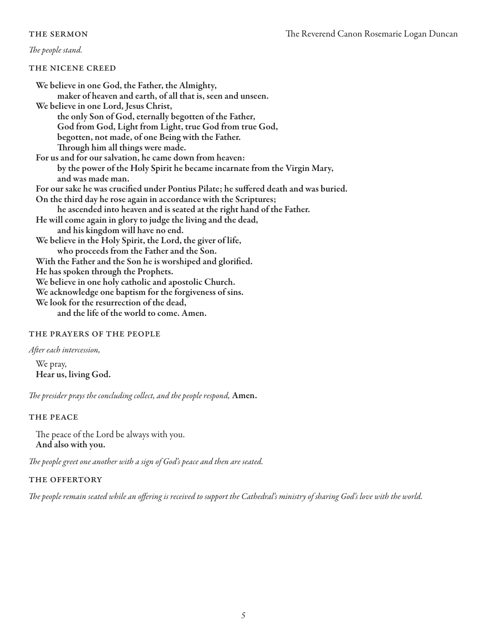#### *The people stand.*

#### the nicene creed

We believe in one God, the Father, the Almighty, maker of heaven and earth, of all that is, seen and unseen. We believe in one Lord, Jesus Christ, the only Son of God, eternally begotten of the Father, God from God, Light from Light, true God from true God, begotten, not made, of one Being with the Father. Through him all things were made. For us and for our salvation, he came down from heaven: by the power of the Holy Spirit he became incarnate from the Virgin Mary, and was made man. For our sake he was crucified under Pontius Pilate; he suffered death and was buried. On the third day he rose again in accordance with the Scriptures; he ascended into heaven and is seated at the right hand of the Father. He will come again in glory to judge the living and the dead, and his kingdom will have no end. We believe in the Holy Spirit, the Lord, the giver of life, who proceeds from the Father and the Son. With the Father and the Son he is worshiped and glorified. He has spoken through the Prophets. We believe in one holy catholic and apostolic Church. We acknowledge one baptism for the forgiveness of sins. We look for the resurrection of the dead, and the life of the world to come. Amen.

#### the prayers of the people

*After each intercession,*

We pray, Hear us, living God.

*The presider prays the concluding collect, and the people respond,* Amen.

#### THE PEACE

The peace of the Lord be always with you. And also with you.

*The people greet one another with a sign of God's peace and then are seated.*

#### the offertory

*The people remain seated while an offering is received to support the Cathedral's ministry of sharing God's love with the world.*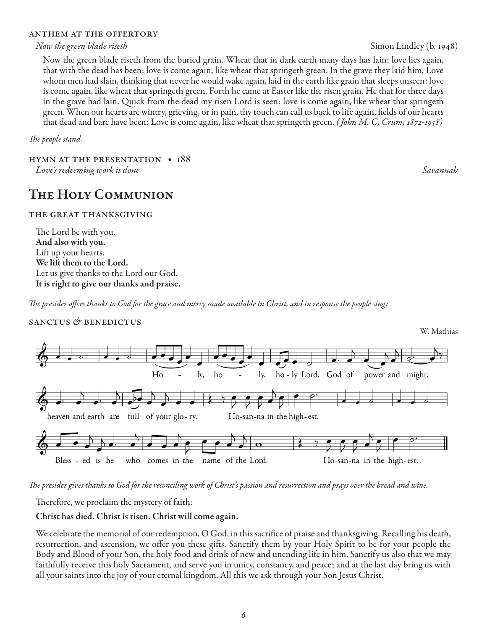#### anthem at the offertory

*Now the green blade riseth*  $\sim$  *Now the green blade riseth*  $\sim$  8)

Now the green blade riseth from the buried grain. Wheat that in dark earth many days has lain; love lies again, that with the dead has been: love is come again, like wheat that springeth green. In the grave they laid him, Love whom men had slain, thinking that never he would wake again, laid in the earth like grain that sleeps unseen: love is come again, like wheat that springeth green. Forth he came at Easter like the risen grain. He that for three days in the grave had lain. Quick from the dead my risen Lord is seen: love is come again, like wheat that springeth green. When our hearts are wintry, grieving, or in pain, thy touch can call us back to life again, fields of our hearts that dead and bare have been: Love is come again, like wheat that springeth green. *(John M. C, Crum, 1872-1958)*

*The people stand.*

hymn at the presentation • 188 *Love's redeeming work is done Savannah*

## The Holy Communion

#### the great thanksgiving

The Lord be with you. And also with you. Lift up your hearts. We lift them to the Lord. Let us give thanks to the Lord our God. It is right to give our thanks and praise.

*The presider offers thanks to God for the grace and mercy made available in Christ, and in response the people sing:*

#### sanctus *&* benedictus



*The presider gives thanks to God for the reconciling work of Christ's passion and resurrection and prays over the bread and wine.*

Therefore, we proclaim the mystery of faith:

Christ has died. Christ is risen. Christ will come again.

We celebrate the memorial of our redemption, O God, in this sacrifice of praise and thanksgiving. Recalling his death, resurrection, and ascension, we offer you these gifts. Sanctify them by your Holy Spirit to be for your people the Body and Blood of your Son, the holy food and drink of new and unending life in him. Sanctify us also that we may faithfully receive this holy Sacrament, and serve you in unity, constancy, and peace; and at the last day bring us with all your saints into the joy of your eternal kingdom. All this we ask through your Son Jesus Christ.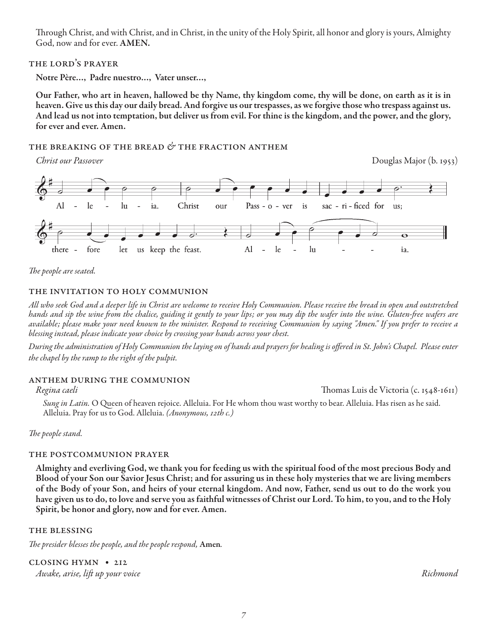Through Christ, and with Christ, and in Christ, in the unity of the Holy Spirit, all honor and glory is yours, Almighty God, now and for ever. AMEN.

#### the lord's prayer

Notre Père…, Padre nuestro…, Vater unser…,

Our Father, who art in heaven, hallowed be thy Name, thy kingdom come, thy will be done, on earth as it is in heaven. Give us this day our daily bread. And forgive us our trespasses, as we forgive those who trespass against us. And lead us not into temptation, but deliver us from evil. For thine is the kingdom, and the power, and the glory, for ever and ever. Amen.

#### THE BREAKING OF THE BREAD  $\mathscr{C}$  THE FRACTION ANTHEM

*Christ our Passover* Douglas Major (b. 1953)



*The people are seated.* 

#### the invitation to holy communion

*All who seek God and a deeper life in Christ are welcome to receive Holy Communion. Please receive the bread in open and outstretched hands and sip the wine from the chalice, guiding it gently to your lips; or you may dip the wafer into the wine. Gluten-free wafers are available; please make your need known to the minister. Respond to receiving Communion by saying "Amen." If you prefer to receive a blessing instead, please indicate your choice by crossing your hands across your chest.* 

*During the administration of Holy Communion the laying on of hands and prayers for healing is offered in St. John's Chapel. Please enter the chapel by the ramp to the right of the pulpit.*

#### anthem during the communion

*Regina caeli* Thomas Luis de Victoria (c. 1548-1611)

*Sung in Latin.* O Queen of heaven rejoice. Alleluia. For He whom thou wast worthy to bear. Alleluia. Has risen as he said. Alleluia. Pray for us to God. Alleluia. *(Anonymous, 12th c.)*

#### *The people stand.*

#### the postcommunion prayer

Almighty and everliving God, we thank you for feeding us with the spiritual food of the most precious Body and Blood of your Son our Savior Jesus Christ; and for assuring us in these holy mysteries that we are living members of the Body of your Son, and heirs of your eternal kingdom. And now, Father, send us out to do the work you have given us to do, to love and serve you as faithful witnesses of Christ our Lord. To him, to you, and to the Holy Spirit, be honor and glory, now and for ever. Amen.

#### the blessing

*The presider blesses the people, and the people respond,* Amen*.*

closing hymn • 212 *Awake, arise, lift up your voice Richmond*